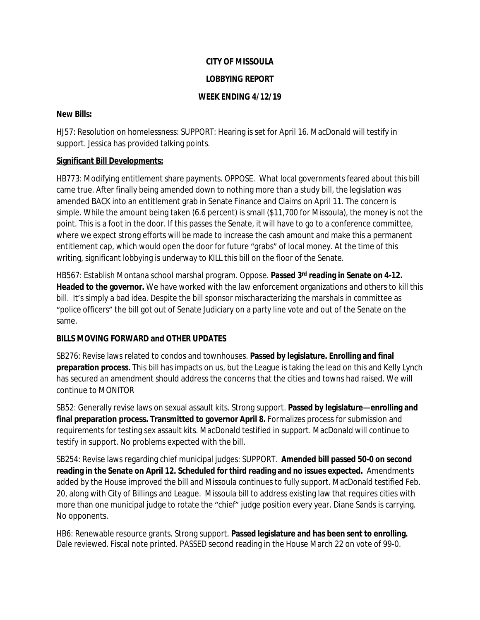## **CITY OF MISSOULA**

### **LOBBYING REPORT**

### **WEEK ENDING 4/12/19**

### **New Bills:**

HJ57: Resolution on homelessness: SUPPORT: Hearing is set for April 16. MacDonald will testify in support. Jessica has provided talking points.

# **Significant Bill Developments:**

HB773: Modifying entitlement share payments. OPPOSE. What local governments feared about this bill came true. After finally being amended down to nothing more than a study bill, the legislation was amended BACK into an entitlement grab in Senate Finance and Claims on April 11. The concern is simple. While the amount being taken (6.6 percent) is small (\$11,700 for Missoula), the money is not the point. This is a foot in the door. If this passes the Senate, it will have to go to a conference committee, where we expect strong efforts will be made to increase the cash amount and make this a permanent entitlement cap, which would open the door for future "grabs" of local money. At the time of this writing, significant lobbying is underway to KILL this bill on the floor of the Senate.

HB567: Establish Montana school marshal program. Oppose. **Passed 3rd reading in Senate on 4-12. Headed to the governor.** We have worked with the law enforcement organizations and others to kill this bill. It's simply a bad idea. Despite the bill sponsor mischaracterizing the marshals in committee as "police officers" the bill got out of Senate Judiciary on a party line vote and out of the Senate on the same.

# **BILLS MOVING FORWARD and OTHER UPDATES**

SB276: Revise laws related to condos and townhouses. **Passed by legislature. Enrolling and final preparation process.** This bill has impacts on us, but the League is taking the lead on this and Kelly Lynch has secured an amendment should address the concerns that the cities and towns had raised. We will continue to MONITOR

SB52: Generally revise laws on sexual assault kits. Strong support. **Passed by legislature—enrolling and final preparation process. Transmitted to governor April 8.** Formalizes process for submission and requirements for testing sex assault kits. MacDonald testified in support. MacDonald will continue to testify in support. No problems expected with the bill.

SB254: Revise laws regarding chief municipal judges: SUPPORT. **Amended bill passed 50-0 on second reading in the Senate on April 12. Scheduled for third reading and no issues expected.** Amendments added by the House improved the bill and Missoula continues to fully support. MacDonald testified Feb. 20, along with City of Billings and League. Missoula bill to address existing law that requires cities with more than one municipal judge to rotate the "chief" judge position every year. Diane Sands is carrying. No opponents.

HB6: Renewable resource grants. Strong support. **Passed legislature and has been sent to enrolling.** Dale reviewed. Fiscal note printed. PASSED second reading in the House March 22 on vote of 99-0.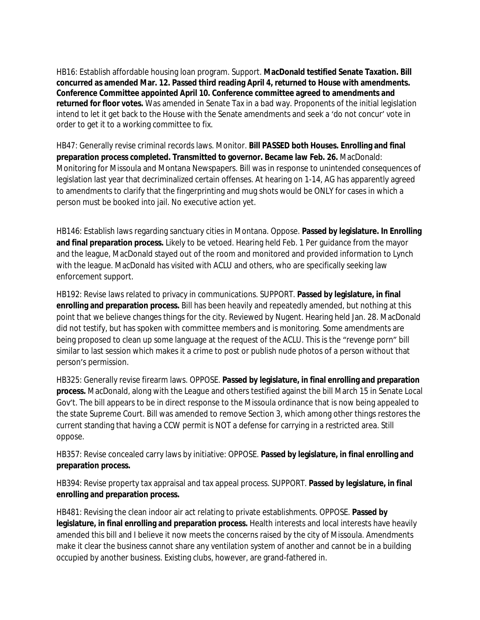HB16: Establish affordable housing loan program. Support. **MacDonald testified Senate Taxation. Bill concurred as amended Mar. 12. Passed third reading April 4, returned to House with amendments. Conference Committee appointed April 10. Conference committee agreed to amendments and returned for floor votes.** Was amended in Senate Tax in a bad way. Proponents of the initial legislation intend to let it get back to the House with the Senate amendments and seek a 'do not concur' vote in order to get it to a working committee to fix.

HB47: Generally revise criminal records laws. Monitor. **Bill PASSED both Houses. Enrolling and final preparation process completed. Transmitted to governor. Became law Feb. 26.** MacDonald: Monitoring for Missoula and Montana Newspapers. Bill was in response to unintended consequences of legislation last year that decriminalized certain offenses. At hearing on 1-14, AG has apparently agreed to amendments to clarify that the fingerprinting and mug shots would be ONLY for cases in which a person must be booked into jail. No executive action yet.

HB146: Establish laws regarding sanctuary cities in Montana. Oppose. **Passed by legislature. In Enrolling and final preparation process.** Likely to be vetoed. Hearing held Feb. 1 Per guidance from the mayor and the league, MacDonald stayed out of the room and monitored and provided information to Lynch with the league. MacDonald has visited with ACLU and others, who are specifically seeking law enforcement support.

HB192: Revise laws related to privacy in communications. SUPPORT. **Passed by legislature, in final enrolling and preparation process.** Bill has been heavily and repeatedly amended, but nothing at this point that we believe changes things for the city. Reviewed by Nugent. Hearing held Jan. 28. MacDonald did not testify, but has spoken with committee members and is monitoring. Some amendments are being proposed to clean up some language at the request of the ACLU. This is the "revenge porn" bill similar to last session which makes it a crime to post or publish nude photos of a person without that person's permission.

HB325: Generally revise firearm laws. OPPOSE. **Passed by legislature, in final enrolling and preparation process.** MacDonald, along with the League and others testified against the bill March 15 in Senate Local Gov't. The bill appears to be in direct response to the Missoula ordinance that is now being appealed to the state Supreme Court. Bill was amended to remove Section 3, which among other things restores the current standing that having a CCW permit is NOT a defense for carrying in a restricted area. Still oppose.

HB357: Revise concealed carry laws by initiative: OPPOSE. **Passed by legislature, in final enrolling and preparation process.**

HB394: Revise property tax appraisal and tax appeal process. SUPPORT. **Passed by legislature, in final enrolling and preparation process.**

HB481: Revising the clean indoor air act relating to private establishments. OPPOSE. **Passed by legislature, in final enrolling and preparation process.** Health interests and local interests have heavily amended this bill and I believe it now meets the concerns raised by the city of Missoula. Amendments make it clear the business cannot share any ventilation system of another and cannot be in a building occupied by another business. Existing clubs, however, are grand-fathered in.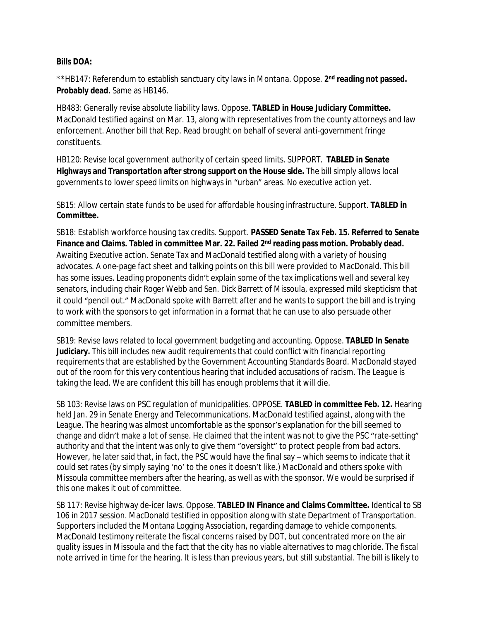#### **Bills DOA:**

\*\*HB147: Referendum to establish sanctuary city laws in Montana. Oppose. 2<sup>nd</sup> reading not passed. **Probably dead.** Same as HB146.

HB483: Generally revise absolute liability laws. Oppose. **TABLED in House Judiciary Committee.**  MacDonald testified against on Mar. 13, along with representatives from the county attorneys and law enforcement. Another bill that Rep. Read brought on behalf of several anti-government fringe constituents.

HB120: Revise local government authority of certain speed limits. SUPPORT. **TABLED in Senate Highways and Transportation after strong support on the House side.** The bill simply allows local governments to lower speed limits on highways in "urban" areas. No executive action yet.

SB15: Allow certain state funds to be used for affordable housing infrastructure. Support. **TABLED in Committee.**

SB18: Establish workforce housing tax credits. Support. **PASSED Senate Tax Feb. 15. Referred to Senate Finance and Claims. Tabled in committee Mar. 22. Failed 2nd reading pass motion. Probably dead.**  Awaiting Executive action. Senate Tax and MacDonald testified along with a variety of housing advocates. A one-page fact sheet and talking points on this bill were provided to MacDonald. This bill has some issues. Leading proponents didn't explain some of the tax implications well and several key senators, including chair Roger Webb and Sen. Dick Barrett of Missoula, expressed mild skepticism that it could "pencil out." MacDonald spoke with Barrett after and he wants to support the bill and is trying to work with the sponsors to get information in a format that he can use to also persuade other committee members.

SB19: Revise laws related to local government budgeting and accounting. Oppose. **TABLED In Senate Judiciary.** This bill includes new audit requirements that could conflict with financial reporting requirements that are established by the Government Accounting Standards Board. MacDonald stayed out of the room for this very contentious hearing that included accusations of racism. The League is taking the lead. We are confident this bill has enough problems that it will die.

SB 103: Revise laws on PSC regulation of municipalities. OPPOSE. **TABLED in committee Feb. 12.** Hearing held Jan. 29 in Senate Energy and Telecommunications. MacDonald testified against, along with the League. The hearing was almost uncomfortable as the sponsor's explanation for the bill seemed to change and didn't make a lot of sense. He claimed that the intent was not to give the PSC "rate-setting" authority and that the intent was only to give them "oversight" to protect people from bad actors. However, he later said that, in fact, the PSC would have the final say – which seems to indicate that it could set rates (by simply saying 'no' to the ones it doesn't like.) MacDonald and others spoke with Missoula committee members after the hearing, as well as with the sponsor. We would be surprised if this one makes it out of committee.

SB 117: Revise highway de-icer laws. Oppose. **TABLED IN Finance and Claims Committee.** Identical to SB 106 in 2017 session. MacDonald testified in opposition along with state Department of Transportation. Supporters included the Montana Logging Association, regarding damage to vehicle components. MacDonald testimony reiterate the fiscal concerns raised by DOT, but concentrated more on the air quality issues in Missoula and the fact that the city has no viable alternatives to mag chloride. The fiscal note arrived in time for the hearing. It is less than previous years, but still substantial. The bill is likely to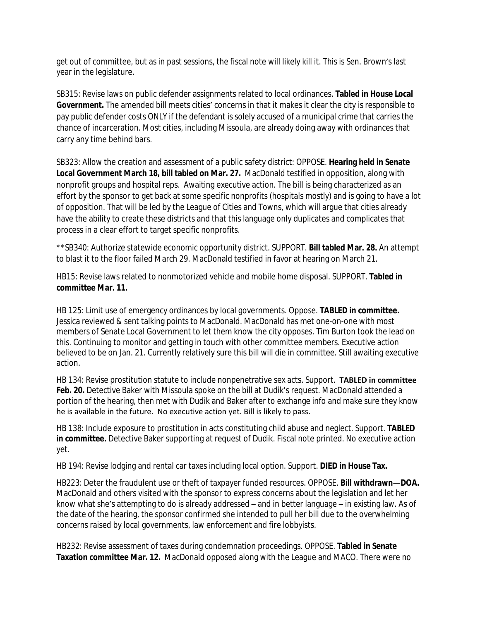get out of committee, but as in past sessions, the fiscal note will likely kill it. This is Sen. Brown's last year in the legislature.

SB315: Revise laws on public defender assignments related to local ordinances. **Tabled in House Local Government.** The amended bill meets cities' concerns in that it makes it clear the city is responsible to pay public defender costs ONLY if the defendant is solely accused of a municipal crime that carries the chance of incarceration. Most cities, including Missoula, are already doing away with ordinances that carry any time behind bars.

SB323: Allow the creation and assessment of a public safety district: OPPOSE. **Hearing held in Senate Local Government March 18, bill tabled on Mar. 27.** MacDonald testified in opposition, along with nonprofit groups and hospital reps. Awaiting executive action. The bill is being characterized as an effort by the sponsor to get back at some specific nonprofits (hospitals mostly) and is going to have a lot of opposition. That will be led by the League of Cities and Towns, which will argue that cities already have the ability to create these districts and that this language only duplicates and complicates that process in a clear effort to target specific nonprofits.

\*\*SB340: Authorize statewide economic opportunity district. SUPPORT. **Bill tabled Mar. 28.** An attempt to blast it to the floor failed March 29. MacDonald testified in favor at hearing on March 21.

HB15: Revise laws related to nonmotorized vehicle and mobile home disposal. SUPPORT. **Tabled in committee Mar. 11.**

HB 125: Limit use of emergency ordinances by local governments. Oppose. **TABLED in committee.** Jessica reviewed & sent talking points to MacDonald. MacDonald has met one-on-one with most members of Senate Local Government to let them know the city opposes. Tim Burton took the lead on this. Continuing to monitor and getting in touch with other committee members. Executive action believed to be on Jan. 21. Currently relatively sure this bill will die in committee. Still awaiting executive action.

HB 134: Revise prostitution statute to include nonpenetrative sex acts. Support. **TABLED in committee**  Feb. 20. Detective Baker with Missoula spoke on the bill at Dudik's request. MacDonald attended a portion of the hearing, then met with Dudik and Baker after to exchange info and make sure they know he is available in the future. No executive action yet. Bill is likely to pass.

HB 138: Include exposure to prostitution in acts constituting child abuse and neglect. Support. **TABLED in committee.** Detective Baker supporting at request of Dudik. Fiscal note printed. No executive action yet.

HB 194: Revise lodging and rental car taxes including local option. Support. **DIED in House Tax.**

HB223: Deter the fraudulent use or theft of taxpayer funded resources. OPPOSE. **Bill withdrawn—DOA.**  MacDonald and others visited with the sponsor to express concerns about the legislation and let her know what she's attempting to do is already addressed – and in better language – in existing law. As of the date of the hearing, the sponsor confirmed she intended to pull her bill due to the overwhelming concerns raised by local governments, law enforcement and fire lobbyists.

HB232: Revise assessment of taxes during condemnation proceedings. OPPOSE. **Tabled in Senate Taxation committee Mar. 12.** MacDonald opposed along with the League and MACO. There were no